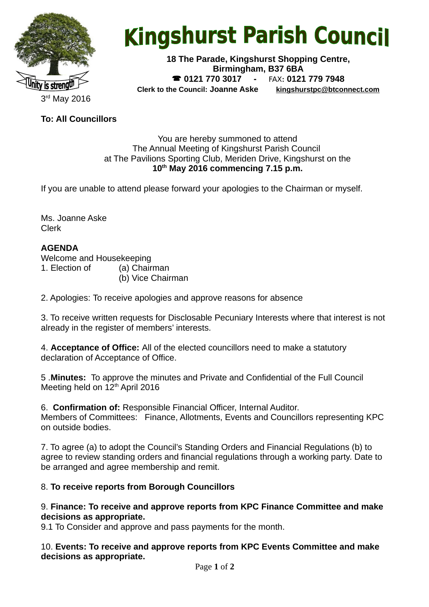

# **Kingshurst Parish Council**

**18 The Parade, Kingshurst Shopping Centre, Birmingham, B37 6BA 0121 770 3017 -** FAX**: 0121 779 7948 Clerk to the Council: Joanne Aske [kingshurstpc@btconnect.com](mailto:kingshurstpc@btconnect.com)**

**To: All Councillors**

#### You are hereby summoned to attend The Annual Meeting of Kingshurst Parish Council at The Pavilions Sporting Club, Meriden Drive, Kingshurst on the **10th May 2016 commencing 7.15 p.m.**

If you are unable to attend please forward your apologies to the Chairman or myself.

Ms. Joanne Aske Clerk

# **AGENDA**

Welcome and Housekeeping 1. Election of (a) Chairman

(b) Vice Chairman

2. Apologies: To receive apologies and approve reasons for absence

3. To receive written requests for Disclosable Pecuniary Interests where that interest is not already in the register of members' interests.

4. **Acceptance of Office:** All of the elected councillors need to make a statutory declaration of Acceptance of Office.

5 .**Minutes:** To approve the minutes and Private and Confidential of the Full Council Meeting held on 12<sup>th</sup> April 2016

6. **Confirmation of:** Responsible Financial Officer, Internal Auditor. Members of Committees: Finance, Allotments, Events and Councillors representing KPC on outside bodies.

7. To agree (a) to adopt the Council's Standing Orders and Financial Regulations (b) to agree to review standing orders and financial regulations through a working party. Date to be arranged and agree membership and remit.

## 8. **To receive reports from Borough Councillors**

#### 9. **Finance: To receive and approve reports from KPC Finance Committee and make decisions as appropriate.**

9.1 To Consider and approve and pass payments for the month.

10. **Events: To receive and approve reports from KPC Events Committee and make decisions as appropriate.**